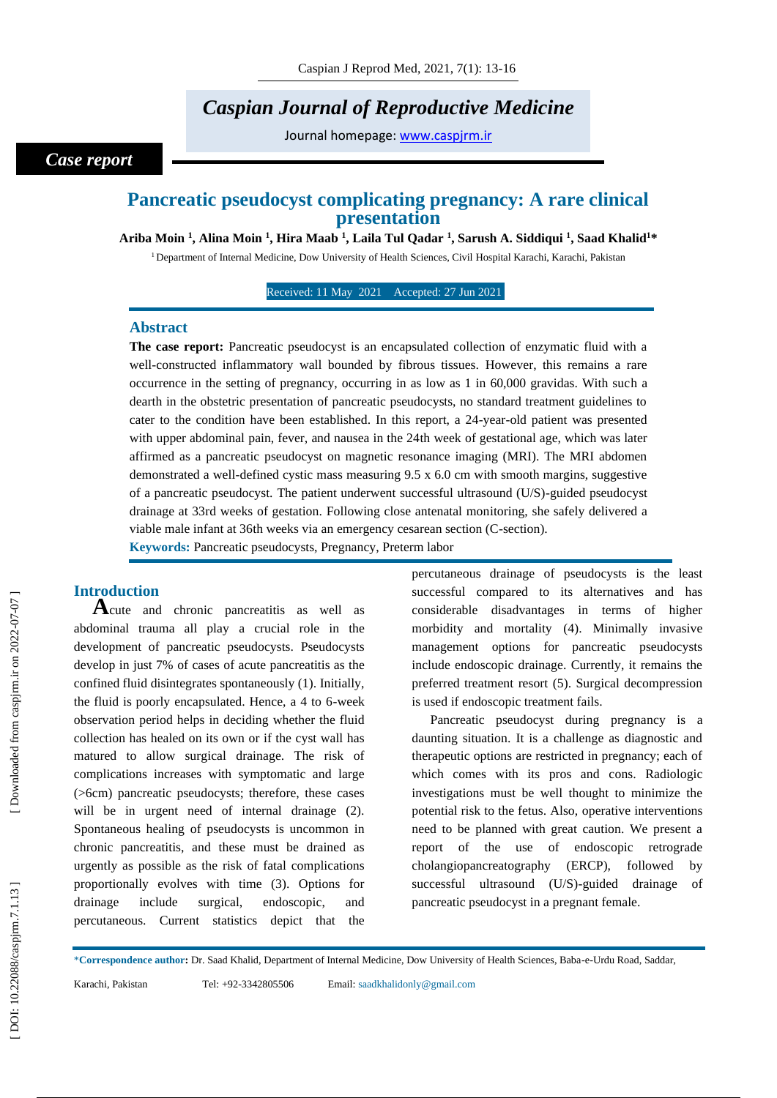# *Caspian Journal of Reproductive Medicine*

Journal homepage: [www.caspjrm.ir](http://www.caspjrm.ir/)

### *Case report*

## **Pancreatic pseudocyst complicating pregnancy: A rare clinical presentation**

 $\bf{A}$ riba Moin  $^1$ , Alina Moin  $^1$ , Hira Maab  $^1$ , Laila Tul Qadar  $^1$ , Sarush A. Siddiqui  $^1$ , Saad Khalid $^{1*}$ 

<sup>1</sup> Department of Internal Medicine, Dow University of Health Sciences, Civil Hospital Karachi, Karachi, Pakistan

Received: 11 May 2021 Accepted: 27 Jun 2021

#### **Abstract**

**The case report:** Pancreatic pseudocyst is an encapsulated collection of enzymatic fluid with a well -constructed inflammatory wall bounded by fibrous tissues. However, this remains a rare occurrence in the setting of pregnancy, occurring in as low as 1 in 60,000 gravidas. With such a dearth in the obstetric presentation of pancreatic pseudocysts, no standard treatment guidelines to cater to the condition have been established. In this report, a 24-year-old patient was presented with upper abdominal pain, fever, and nausea in the 24th week of gestational age, which was later affirmed as a pancreatic pseudocyst on magnetic resonance imaging (MRI). The MRI abdomen demonstrated a well-defined cystic mass measuring  $9.5 \times 6.0$  cm with smooth margins, suggestive of a pancreatic pseudocyst. The patient underwent successful ultrasound (U/S) -guided pseudocyst drainage at 33rd weeks of gestation. Following close antenatal monitoring, she safely delivered a viable male infant at 36th weeks via an emergency cesarean section (C -section).

**Keywords:** Pancreatic pseudocysts, Pregnancy, Preterm labor

**Introduction**<br>**A**cute and chronic pancreatitis as well as abdominal trauma all play a crucial role in the development of pancreatic pseudocysts. Pseudocysts develop in just 7% of cases of acute pancreatitis as the confined fluid disintegrates spontaneously (1). Initially, the fluid is poorly encapsulated. Hence, a 4 to 6 -week observation period helps in deciding whether the fluid collection has healed on its own or if the cyst wall has matured to allow surgical drainage. The risk of complications increases with symptomatic and large (>6cm) pancreatic pseudocysts; therefore, these cases will be in urgent need of internal drainage (2). Spontaneous healing of pseudocysts is uncommon in chronic pancreatitis, and these must be drained as urgently as possible as the risk of fatal complications proportionally evolves with time (3). Options for drainage include surgical, endoscopic, and percutaneous. Current statistics depict that the

percutaneous drainage of pseudocysts is the least successful compared to its alternatives and has considerable disadvantages in terms of higher morbidity and mortality (4). Minimally invasive management options for pancreatic pseudocysts include endoscopic drainage. Currently, it remains the preferred treatment resort (5). Surgical decompression is used if endoscopic treatment fails.

Pancreatic pseudocyst during pregnancy is a daunting situation. It is a challenge as diagnostic and therapeutic options are restricted in pregnancy; each of which comes with its pros and cons. Radiologic investigations must be well thought to minimize the potential risk to the fetus. Also, operative interventions need to be planned with great caution. We present a report of the use of endoscopic retrograde cholangiopancreatography (ERCP), followed by successful ultrasound (U/S) -guided drainage of pancreatic pseudocyst in a pregnant female.

\***Correspondence author :** Dr. Saad Khalid, Department of Internal Medicine, Dow University of Health Sciences, Baba - e -Urdu Road, Saddar,

Email: saadkhalidonly@gmail.com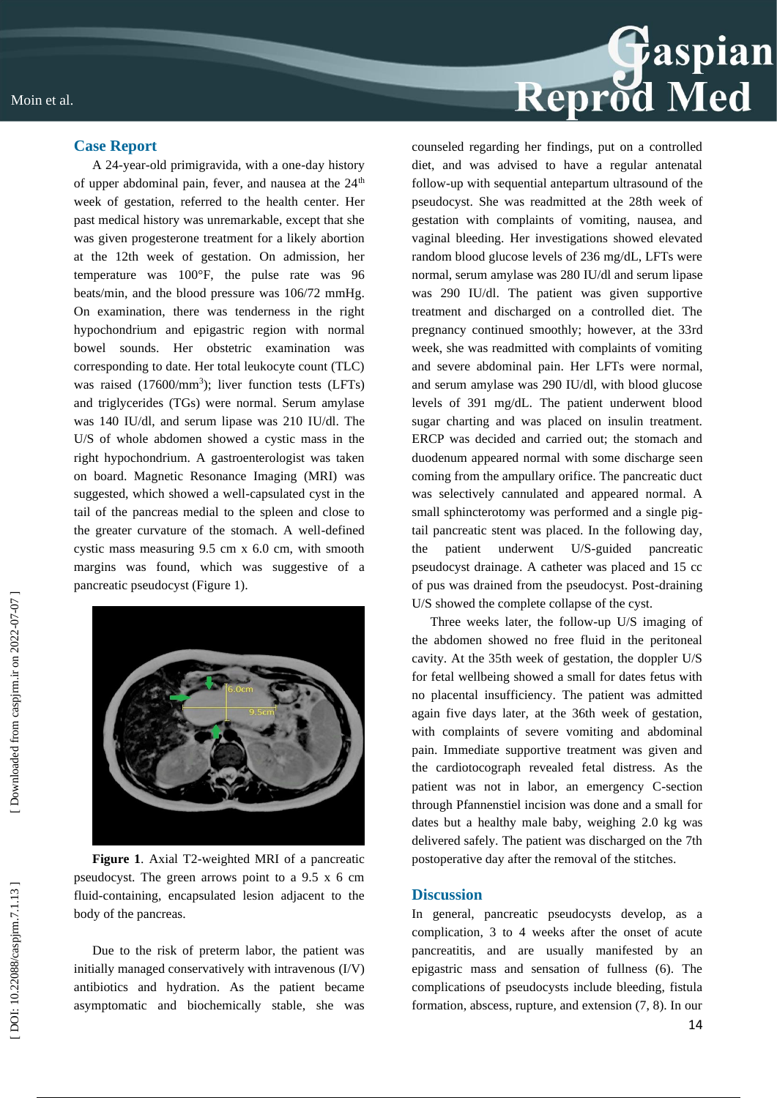

#### **Case Report**

A 24 -year -old primigravida, with a one -day history of upper abdominal pain, fever, and nausea at the  $24<sup>th</sup>$ week of gestation, referred to the health center. Her past medical history was unremarkable, except that she was given progesterone treatment for a likely abortion at the 12th week of gestation. On admission, her temperature was 100°F, the pulse rate was 96 beats/min, and the blood pressure was 106/72 mmHg. On examination, there was tenderness in the right hypochondrium and epigastric region with normal bowel sounds. Her obstetric examination was corresponding to date. Her total leukocyte count (TLC) was raised (17600/mm 3 ); liver function tests (LFTs) and triglycerides (TGs) were normal. Serum amylase was 140 IU/dl, and serum lipase was 210 IU/dl. The U/S of whole abdomen showed a cystic mass in the right hypochondrium. A gastroenterologist was taken on board. Magnetic Resonance Imaging (MRI) was suggested, which showed a well -capsulated cyst in the tail of the pancreas medial to the spleen and close to the greater curvature of the stomach. A well -defined cystic mass measuring 9.5 cm x 6.0 cm, with smooth margins was found, which was suggestive of a pancreatic pseudocyst (Figure 1).



Figure 1. Axial T2-weighted MRI of a pancreatic pseudocyst. The green arrows point to a 9.5 x 6 cm fluid -containing, encapsulated lesion adjacent to the body of the pancreas.

Due to the risk of preterm labor, the patient was initially managed conservatively with intravenous (I/V) antibiotics and hydration. As the patient became asymptomatic and biochemically stable, she was counseled regarding her findings, put on a controlled diet, and was advised to have a regular antenatal follow -up with sequential antepartum ultrasound of the pseudocyst. She was readmitted at the 28th week of gestation with complaints of vomiting, nausea, and vaginal bleeding. Her investigations showed elevated random blood glucose levels of 236 mg/dL, LFTs were normal, serum amylase was 280 IU/dl and serum lipase was 290 IU/dl. The patient was given supportive treatment and discharged on a controlled diet. The pregnancy continued smoothly; however, at the 33rd week, she was readmitted with complaints of vomiting and severe abdominal pain. Her LFTs were normal, and serum amylase was 290 IU/dl, with blood glucose levels of 391 mg/dL. The patient underwent blood sugar charting and was placed on insulin treatment. ERCP was decided and carried out; the stomach and duodenum appeared normal with some discharge seen coming from the ampullary orifice. The pancreatic duct was selectively cannulated and appeared normal. A small sphincterotomy was performed and a single pig tail pancreatic stent was placed. In the following day, the patient underwent U/S pancreatic pseudocyst drainage. A catheter was placed and 15 cc of pus was drained from the pseudocyst. Post -draining U/S showed the complete collapse of the cyst.

Three weeks later, the follow -up U/S imaging of the abdomen showed no free fluid in the peritoneal cavity. At the 35th week of gestation, the doppler U/S for fetal wellbeing showed a small for dates fetus with no placental insufficiency. The patient was admitted again five days later, at the 36th week of gestation, with complaints of severe vomiting and abdominal pain. Immediate supportive treatment was given and the cardiotocograph revealed fetal distress. As the patient was not in labor, an emergency C-section through Pfannenstiel incision was done and a small for dates but a healthy male baby, weighing 2.0 kg was delivered safely. The patient was discharged on the 7th postoperative day after the removal of the stitches.

#### **Discussion**

In general, pancreatic pseudocysts develop, as a complication, 3 to 4 weeks after the onset of acute pancreatitis, and are usually manifested by an epigastric mass and sensation of fullness (6). The complications of pseudocysts include bleeding, fistula formation, abscess, rupture, and extension (7, 8). In our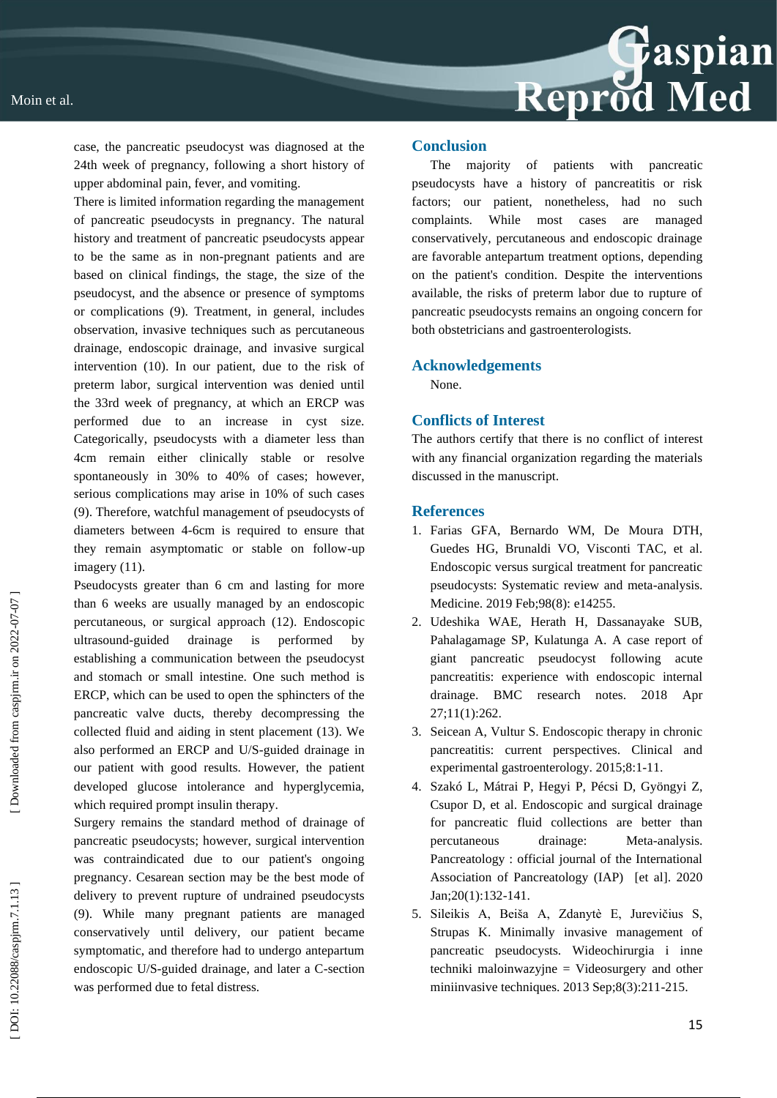Moin et al.

case, the pancreatic pseudocyst was diagnosed at the 24th week of pregnancy, following a short history of upper abdominal pain, fever, and vomiting.

There is limited information regarding the management of pancreatic pseudocysts in pregnancy. The natural history and treatment of pancreatic pseudocysts appear to be the same as in non -pregnant patients and are based on clinical findings, the stage, the size of the pseudocyst, and the absence or presence of symptoms or complications (9). Treatment, in general, includes observation, invasive techniques such as percutaneous drainage, endoscopic drainage, and invasive surgical intervention (10). In our patient, due to the risk of preterm labor, surgical intervention was denied until the 33rd week of pregnancy, at which an ERCP was performed due to an increase in cyst size. Categorically, pseudocysts with a diameter less than 4cm remain either clinically stable or resolve spontaneously in 30% to 40% of cases; however, serious complications may arise in 10% of such cases (9). Therefore, watchful management of pseudocysts of diameters between 4 -6cm is required to ensure that they remain asymptomatic or stable on follow -up imagery (11).

Pseudocysts greater than 6 cm and lasting for more than 6 weeks are usually managed by an endoscopic percutaneous, or surgical approach (12). Endoscopic ultrasound drainage is performed by establishing a communication between the pseudocyst and stomach or small intestine. One such method is ERCP, which can be used to open the sphincters of the pancreatic valve ducts, thereby decompressing the collected fluid and aiding in stent placement (13). We also performed an ERCP and U/S -guided drainage in our patient with good results. However, the patient developed glucose intolerance and hyperglycemia, which required prompt insulin therapy.

Surgery remains the standard method of drainage of pancreatic pseudocysts; however, surgical intervention was contraindicated due to our patient's ongoing pregnancy. Cesarean section may be the best mode of delivery to prevent rupture of undrained pseudocysts (9). While many pregnant patients are managed conservatively until delivery, our patient became symptomatic, and therefore had to undergo antepartum endoscopic U/S -guided drainage, and later a C -section was performed due to fetal distress.

#### **Conclusion**

The majority of patients with pancreatic pseudocysts have a history of pancreatitis or risk factors; our patient, nonetheless, had no such complaints. While most cases are managed conservatively, percutaneous and endoscopic drainage are favorable antepartum treatment options, depending on the patient's condition. Despite the interventions available, the risks of preterm labor due to rupture of pancreatic pseudocysts remains an ongoing concern for both obstetricians and gastroenterologists.

#### **Acknowledgements**

None.

#### **Conflicts of Interest**

The authors certify that there is no conflict of interest with any financial organization regarding the materials discussed in the manuscript.

#### **References**

- 1. Farias GFA, Bernardo WM, De Moura DTH, Guedes HG, Brunaldi VO, Visconti TAC, et al. Endoscopic versus surgical treatment for pancreatic pseudocysts: Systematic review and meta -analysis. Medicine. 2019 Feb;98(8): e14255.
- 2. Udeshika WAE, Herath H, Dassanayake SUB, Pahalagamage SP, Kulatunga A. A case report of giant pancreatic pseudocyst following acute pancreatitis: experience with endoscopic internal drainage. BMC research notes. 2018 Apr 27;11(1):262.
- 3. Seicean A, Vultur S. Endoscopic therapy in chronic pancreatitis: current perspectives. Clinical and experimental gastroenterology. 2015;8:1 -11.
- 4. Szakó L, Mátrai P, Hegyi P, Pécsi D, Gyöngyi Z, Csupor D, et al. Endoscopic and surgical drainage for pancreatic fluid collections are better than percutaneous drainage: Meta-analysis. Pancreatology : official journal of the International<br>Association of Pancreatology (IAP) [et al]. 2020 Jan;20(1):132 - 141.
- 5. Sileikis A, Beiša A, Zdanytè E, Jurevičius S, Strupas K. Minimally invasive management of pancreatic pseudocysts. Wideochirurgia i inne techniki maloinwazyjne = Videosurgery and other miniinvasive techniques. 2013 Sep;8(3):211-215.